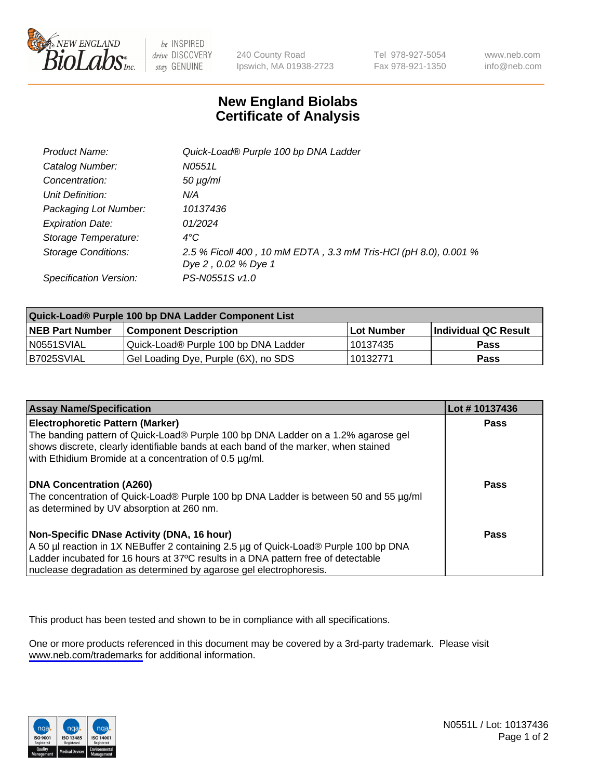

be INSPIRED drive DISCOVERY stay GENUINE

240 County Road Ipswich, MA 01938-2723 Tel 978-927-5054 Fax 978-921-1350

www.neb.com info@neb.com

## **New England Biolabs Certificate of Analysis**

| Product Name:           | Quick-Load® Purple 100 bp DNA Ladder                            |
|-------------------------|-----------------------------------------------------------------|
| Catalog Number:         | N0551L                                                          |
| Concentration:          | $50 \mu g/ml$                                                   |
| Unit Definition:        | N/A                                                             |
| Packaging Lot Number:   | 10137436                                                        |
| <b>Expiration Date:</b> | 01/2024                                                         |
| Storage Temperature:    | $4^{\circ}$ C                                                   |
| Storage Conditions:     | 2.5 % Ficoll 400, 10 mM EDTA, 3.3 mM Tris-HCl (pH 8.0), 0.001 % |
|                         | Dye 2, 0.02 % Dye 1                                             |
| Specification Version:  | PS-N0551S v1.0                                                  |

| Quick-Load® Purple 100 bp DNA Ladder Component List |                                      |            |                      |  |
|-----------------------------------------------------|--------------------------------------|------------|----------------------|--|
| <b>NEB Part Number</b>                              | <b>Component Description</b>         | Lot Number | Individual QC Result |  |
| N0551SVIAL                                          | Quick-Load® Purple 100 bp DNA Ladder | 10137435   | <b>Pass</b>          |  |
| I B7025SVIAL                                        | Gel Loading Dye, Purple (6X), no SDS | 10132771   | <b>Pass</b>          |  |

| <b>Assay Name/Specification</b>                                                                                                                                                                                                                                                               | Lot #10137436 |
|-----------------------------------------------------------------------------------------------------------------------------------------------------------------------------------------------------------------------------------------------------------------------------------------------|---------------|
| <b>Electrophoretic Pattern (Marker)</b><br>The banding pattern of Quick-Load® Purple 100 bp DNA Ladder on a 1.2% agarose gel<br>shows discrete, clearly identifiable bands at each band of the marker, when stained<br>with Ethidium Bromide at a concentration of 0.5 µg/ml.                 | <b>Pass</b>   |
| <b>DNA Concentration (A260)</b><br>The concentration of Quick-Load® Purple 100 bp DNA Ladder is between 50 and 55 µg/ml<br>as determined by UV absorption at 260 nm.                                                                                                                          | Pass          |
| Non-Specific DNase Activity (DNA, 16 hour)<br>A 50 µl reaction in 1X NEBuffer 2 containing 2.5 µg of Quick-Load® Purple 100 bp DNA<br>Ladder incubated for 16 hours at 37°C results in a DNA pattern free of detectable<br>nuclease degradation as determined by agarose gel electrophoresis. | Pass          |

This product has been tested and shown to be in compliance with all specifications.

One or more products referenced in this document may be covered by a 3rd-party trademark. Please visit <www.neb.com/trademarks>for additional information.